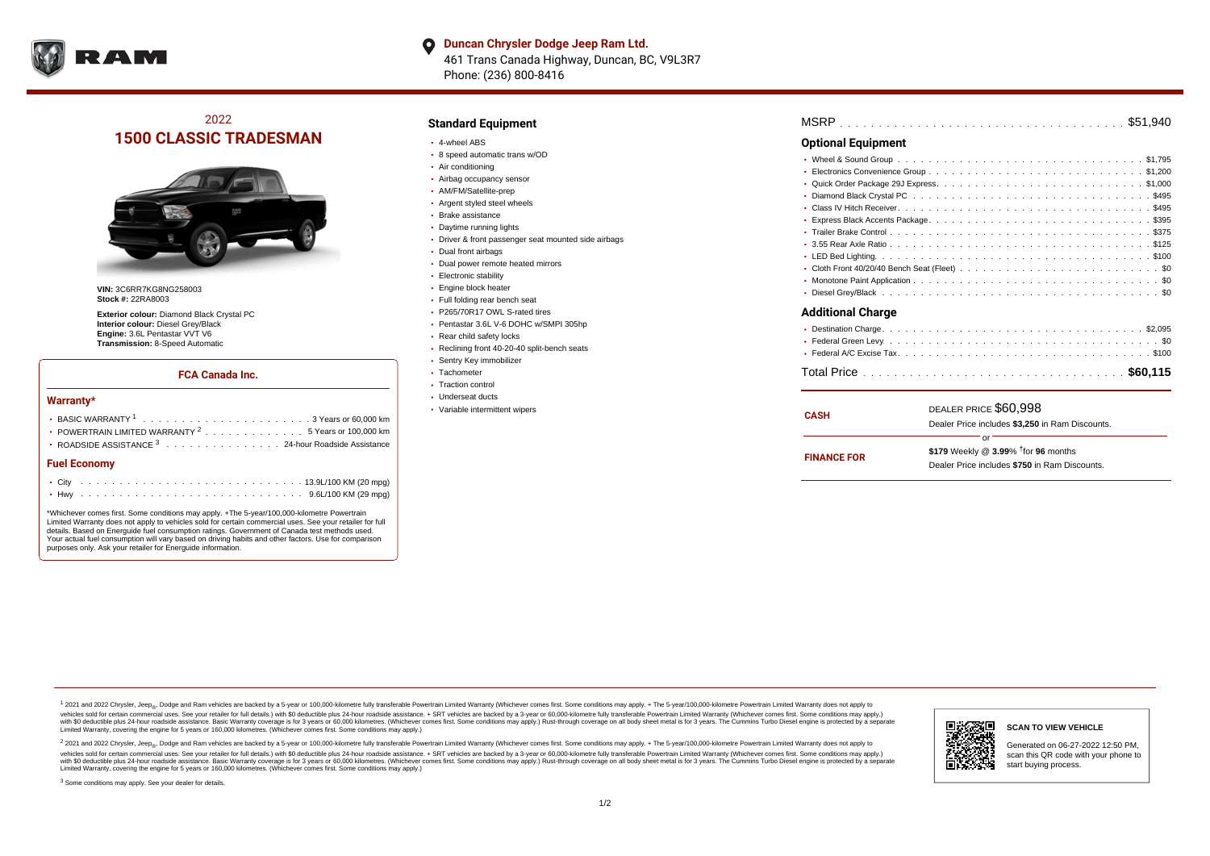

**Duncan Chrysler Dodge Jeep Ram Ltd.**  $\bullet$ 461 Trans Canada Highway, Duncan, BC, V9L3R7 Phone: (236) 800-8416

# 2022 **1500 CLASSIC TRADESMAN**



**VIN:** 3C6RR7KG8NG258003 **Stock #:** 22RA8003

**Exterior colour:** Diamond Black Crystal PC **Interior colour:** Diesel Grey/Black **Engine:** 3.6L Pentastar VVT V6 **Transmission:** 8-Speed Automatic

#### **FCA Canada Inc.**

#### **Warranty\***

| POWERTRAIN LIMITED WARRANTY $^2$ 5 Years or 100,000 km<br>• ROADSIDE ASSISTANCE 3 24-hour Roadside Assistance |  |  |  |  |  |  |  |  |  |  |  |  |  |  |  |  |  |  |  |  |  |  |  |
|---------------------------------------------------------------------------------------------------------------|--|--|--|--|--|--|--|--|--|--|--|--|--|--|--|--|--|--|--|--|--|--|--|
| <b>Fuel Economy</b>                                                                                           |  |  |  |  |  |  |  |  |  |  |  |  |  |  |  |  |  |  |  |  |  |  |  |
|                                                                                                               |  |  |  |  |  |  |  |  |  |  |  |  |  |  |  |  |  |  |  |  |  |  |  |
|                                                                                                               |  |  |  |  |  |  |  |  |  |  |  |  |  |  |  |  |  |  |  |  |  |  |  |

\*Whichever comes first. Some conditions may apply. +The 5-year/100,000-kilometre Powertrain Limited Warranty does not apply to vehicles sold for certain commercial uses. See your retailer for full details. Based on Energuide fuel consumption ratings. Government of Canada test methods used. Your actual fuel consumption will vary based on driving habits and other factors. Use for comparison purposes only. Ask your retailer for Energuide information.

### **Standard Equipment**

- 4-wheel ABS
- 8 speed automatic trans w/OD
- Air conditioning
- Airbag occupancy sensor
- AM/FM/Satellite-prep
- Argent styled steel wheels
- Brake assistance
- Daytime running lights
- Driver & front passenger seat mounted side airbags
- Dual front airbags
- Dual power remote heated mirrors
- Electronic stability
- Engine block heater
- Full folding rear bench seat
- P265/70R17 OWL S-rated tires
- Pentastar 3.6L V-6 DOHC w/SMPI 305hp
- Rear child safety locks
- Reclining front 40-20-40 split-bench seats
- Sentry Key immobilizer
- Tachometer
- Traction control Underseat ducts
- 
- Variable intermittent wipers

| MSRP |  |  |  |  |  |  |  |  |  |  |  |  |  |  |  |  |  |  |  |  |  |  |  |  |  |  |  |  |  |  |  |  |  |  |  |  |  |  |
|------|--|--|--|--|--|--|--|--|--|--|--|--|--|--|--|--|--|--|--|--|--|--|--|--|--|--|--|--|--|--|--|--|--|--|--|--|--|--|
|------|--|--|--|--|--|--|--|--|--|--|--|--|--|--|--|--|--|--|--|--|--|--|--|--|--|--|--|--|--|--|--|--|--|--|--|--|--|--|

#### **Optional Equipment**

| <b>Additional Charge</b> |
|--------------------------|
|                          |
|                          |
|                          |
|                          |

| <b>CASH</b>        | DEALER PRICE \$60,998                              |  |
|--------------------|----------------------------------------------------|--|
|                    | Dealer Price includes \$3.250 in Ram Discounts.    |  |
|                    | ΩF                                                 |  |
| <b>FINANCE FOR</b> | \$179 Weekly @ $3.99\%$ <sup>†</sup> for 96 months |  |
|                    | Dealer Price includes \$750 in Ram Discounts.      |  |

<sup>1</sup> 2021 and 2022 Chrysler, Jeep<sub>®</sub>, Dodge and Ram vehicles are backed by a 5-year or 100,000-kilometre fully transferable Powertrain Limited Warranty (Whichever comes first. Some conditions may apply. + The 5-year/100,000 vehicles sold for certain commercial uses. See your retailer for full details.) with \$0 deductible plus 24 hour roadside assistance. + SRT vehicles are backed by a 3-year or 60,000-kilometre fully transferable Powertrain L versus and contract the mean of the contract of the contract with a contract with a contract the contract of the contract of the contract the contract of the contract of the contract of the contract of the contract of the Limited Warranty, covering the engine for 5 years or 160,000 kilometres. (Whichever comes first. Some conditions may apply.)

2 2021 and 2022 Chrysler, Jeep<sub>®</sub>, Dodge and Ram vehicles are backed by a 5-year or 100,000-kilometre fully transferable Powertrain Limited Warranty (Whichever comes first. Some conditions may apply. + The 5-year/100,000-k vehicles sold for certain commercial uses. See your retailer for full details.) with SO deductible plus 24-hour roadside assistance. + SRT vehicles are backed by a 3-year or 60.000-kilometre fully transferable Powertrain L with S0 deductible plus 24-hour roadside assistance. Basic Warranty coverage is for 3 years or 60,000 kilometres. (Whichever comes first. Some conditions may apply.) Rust-through coverage on all body sheet metal is for 3 y

<sup>3</sup> Some conditions may apply. See your dealer for details.



Generated on 06-27-2022 12:50 PM, scan this QR code with your phone to start buying process.